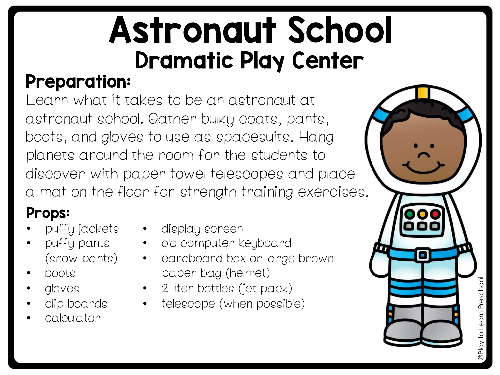# Astronaut School Dramatic Play Center

## Preparation:

Learn what it takes to be an astronaut at astronaut school. Gather bulky coats, pants, boots, and gloves to use as spacesuits. Hang planets around the room for the students to discover with paper towel telescopes and place a mat on the floor for strength training exercises.

## Props:

- puffy jackets
- puffy pants (snow pants)
- boots
- gloves
- clip boards
- calculator
- display screen
	- old computer keyboard
	- cardboard box or large brown paper bag (helmet)
	- 2 liter bottles (jet pack)
	- telescope (when possible)

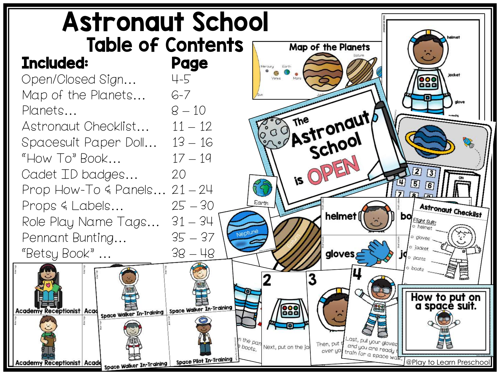